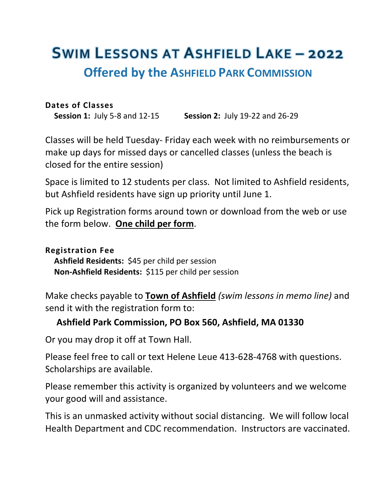# **SWIM LESSONS AT ASHFIELD LAKE – 2022 Offered by the ASHFIELD PARK COMMISSION**

#### **Dates of Classes**

**Session 1:** July 5-8 and 12-15 **Session 2:** July 19-22 and 26-29

Classes will be held Tuesday- Friday each week with no reimbursements or make up days for missed days or cancelled classes (unless the beach is closed for the entire session)

Space is limited to 12 students per class. Not limited to Ashfield residents, but Ashfield residents have sign up priority until June 1.

Pick up Registration forms around town or download from the web or use the form below. **One child per form**.

### **Registration Fee**

**Ashfield Residents:** \$45 per child per session **Non-Ashfield Residents:** \$115 per child per session

Make checks payable to **Town of Ashfield** *(swim lessons in memo line)* and send it with the registration form to:

### **Ashfield Park Commission, PO Box 560, Ashfield, MA 01330**

Or you may drop it off at Town Hall.

Please feel free to call or text Helene Leue 413-628-4768 with questions. Scholarships are available.

Please remember this activity is organized by volunteers and we welcome your good will and assistance.

This is an unmasked activity without social distancing. We will follow local Health Department and CDC recommendation. Instructors are vaccinated.